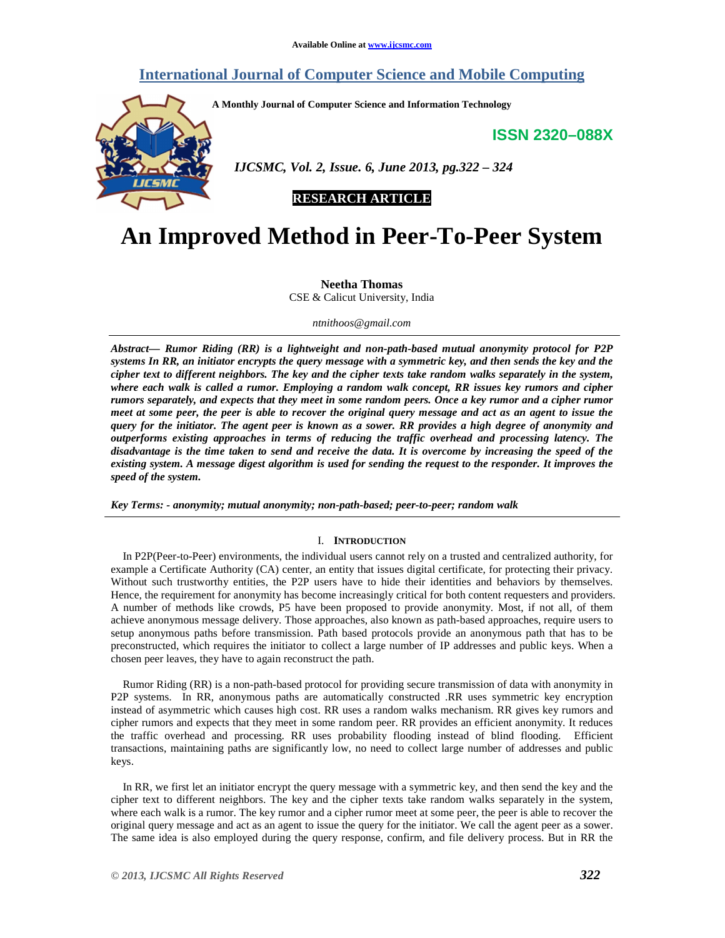# **International Journal of Computer Science and Mobile Computing**

**A Monthly Journal of Computer Science and Information Technology** 

**ISSN 2320–088X**



 *IJCSMC, Vol. 2, Issue. 6, June 2013, pg.322 – 324* 

# **RESEARCH ARTICLE**

# **An Improved Method in Peer-To-Peer System**

**Neetha Thomas**  CSE & Calicut University, India

*ntnithoos@gmail.com*

*Abstract— Rumor Riding (RR) is a lightweight and non-path-based mutual anonymity protocol for P2P systems In RR, an initiator encrypts the query message with a symmetric key, and then sends the key and the cipher text to different neighbors. The key and the cipher texts take random walks separately in the system, where each walk is called a rumor. Employing a random walk concept, RR issues key rumors and cipher rumors separately, and expects that they meet in some random peers. Once a key rumor and a cipher rumor meet at some peer, the peer is able to recover the original query message and act as an agent to issue the query for the initiator. The agent peer is known as a sower. RR provides a high degree of anonymity and outperforms existing approaches in terms of reducing the traffic overhead and processing latency. The disadvantage is the time taken to send and receive the data. It is overcome by increasing the speed of the existing system. A message digest algorithm is used for sending the request to the responder. It improves the speed of the system.* 

*Key Terms: - anonymity; mutual anonymity; non-path-based; peer-to-peer; random walk* 

## I. **INTRODUCTION**

In P2P(Peer-to-Peer) environments, the individual users cannot rely on a trusted and centralized authority, for example a Certificate Authority (CA) center, an entity that issues digital certificate, for protecting their privacy. Without such trustworthy entities, the P2P users have to hide their identities and behaviors by themselves. Hence, the requirement for anonymity has become increasingly critical for both content requesters and providers. A number of methods like crowds, P5 have been proposed to provide anonymity. Most, if not all, of them achieve anonymous message delivery. Those approaches, also known as path-based approaches, require users to setup anonymous paths before transmission. Path based protocols provide an anonymous path that has to be preconstructed, which requires the initiator to collect a large number of IP addresses and public keys. When a chosen peer leaves, they have to again reconstruct the path.

Rumor Riding (RR) is a non-path-based protocol for providing secure transmission of data with anonymity in P2P systems. In RR, anonymous paths are automatically constructed .RR uses symmetric key encryption instead of asymmetric which causes high cost. RR uses a random walks mechanism. RR gives key rumors and cipher rumors and expects that they meet in some random peer. RR provides an efficient anonymity. It reduces the traffic overhead and processing. RR uses probability flooding instead of blind flooding. Efficient transactions, maintaining paths are significantly low, no need to collect large number of addresses and public keys.

In RR, we first let an initiator encrypt the query message with a symmetric key, and then send the key and the cipher text to different neighbors. The key and the cipher texts take random walks separately in the system, where each walk is a rumor. The key rumor and a cipher rumor meet at some peer, the peer is able to recover the original query message and act as an agent to issue the query for the initiator. We call the agent peer as a sower. The same idea is also employed during the query response, confirm, and file delivery process. But in RR the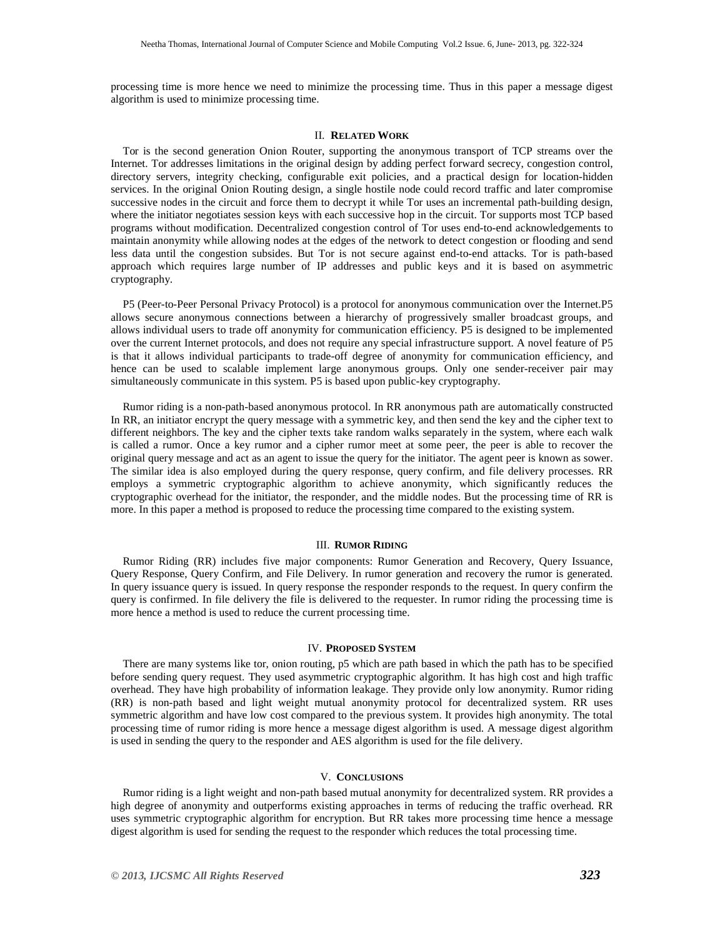processing time is more hence we need to minimize the processing time. Thus in this paper a message digest algorithm is used to minimize processing time.

## II. **RELATED WORK**

Tor is the second generation Onion Router, supporting the anonymous transport of TCP streams over the Internet. Tor addresses limitations in the original design by adding perfect forward secrecy, congestion control, directory servers, integrity checking, configurable exit policies, and a practical design for location-hidden services. In the original Onion Routing design, a single hostile node could record traffic and later compromise successive nodes in the circuit and force them to decrypt it while Tor uses an incremental path-building design, where the initiator negotiates session keys with each successive hop in the circuit. Tor supports most TCP based programs without modification. Decentralized congestion control of Tor uses end-to-end acknowledgements to maintain anonymity while allowing nodes at the edges of the network to detect congestion or flooding and send less data until the congestion subsides. But Tor is not secure against end-to-end attacks. Tor is path-based approach which requires large number of IP addresses and public keys and it is based on asymmetric cryptography.

P5 (Peer-to-Peer Personal Privacy Protocol) is a protocol for anonymous communication over the Internet.P5 allows secure anonymous connections between a hierarchy of progressively smaller broadcast groups, and allows individual users to trade off anonymity for communication efficiency. P5 is designed to be implemented over the current Internet protocols, and does not require any special infrastructure support. A novel feature of P5 is that it allows individual participants to trade-off degree of anonymity for communication efficiency, and hence can be used to scalable implement large anonymous groups. Only one sender-receiver pair may simultaneously communicate in this system. P5 is based upon public-key cryptography.

Rumor riding is a non-path-based anonymous protocol. In RR anonymous path are automatically constructed In RR, an initiator encrypt the query message with a symmetric key, and then send the key and the cipher text to different neighbors. The key and the cipher texts take random walks separately in the system, where each walk is called a rumor. Once a key rumor and a cipher rumor meet at some peer, the peer is able to recover the original query message and act as an agent to issue the query for the initiator. The agent peer is known as sower. The similar idea is also employed during the query response, query confirm, and file delivery processes. RR employs a symmetric cryptographic algorithm to achieve anonymity, which significantly reduces the cryptographic overhead for the initiator, the responder, and the middle nodes. But the processing time of RR is more. In this paper a method is proposed to reduce the processing time compared to the existing system.

#### III. **RUMOR RIDING**

Rumor Riding (RR) includes five major components: Rumor Generation and Recovery, Query Issuance, Query Response, Query Confirm, and File Delivery. In rumor generation and recovery the rumor is generated. In query issuance query is issued. In query response the responder responds to the request. In query confirm the query is confirmed. In file delivery the file is delivered to the requester. In rumor riding the processing time is more hence a method is used to reduce the current processing time.

## IV. **PROPOSED SYSTEM**

There are many systems like tor, onion routing, p5 which are path based in which the path has to be specified before sending query request. They used asymmetric cryptographic algorithm. It has high cost and high traffic overhead. They have high probability of information leakage. They provide only low anonymity. Rumor riding (RR) is non-path based and light weight mutual anonymity protocol for decentralized system. RR uses symmetric algorithm and have low cost compared to the previous system. It provides high anonymity. The total processing time of rumor riding is more hence a message digest algorithm is used. A message digest algorithm is used in sending the query to the responder and AES algorithm is used for the file delivery.

#### V. **CONCLUSIONS**

Rumor riding is a light weight and non-path based mutual anonymity for decentralized system. RR provides a high degree of anonymity and outperforms existing approaches in terms of reducing the traffic overhead. RR uses symmetric cryptographic algorithm for encryption. But RR takes more processing time hence a message digest algorithm is used for sending the request to the responder which reduces the total processing time.